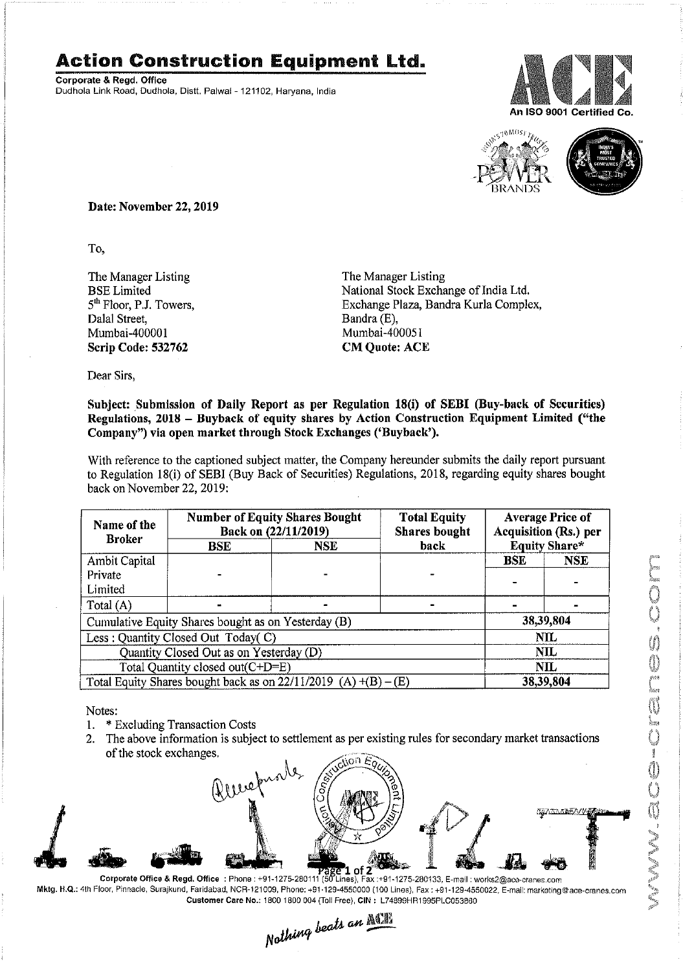## Action Construction Equipment ltd.

Corporate & Regd. Office Dudhola Link Road, Dudhola, Distt. Palwal- 121102, Haryana, India





IVIN, accessing a con

Date: November 22, 2019

To.

The Manager Listing BSE Limited 5<sup>th</sup> Floor, P.J. Towers, Dalal Street, Mumbai-40000I Scrip Code: 532762

The Manager Listing National Stock Exchange of India Ltd. Exchange Plaza, Bandra Kurla Complex, Bandra (E), Mumbai-400051 **CM Quote: ACE** 

Dear Sirs,

## Subject: Submission of Daily Report as per Regulation 18(i) of SEBI (Buy-back of Securities) Regulations, 2018 - Buyback of equity shares by Action Construction Equipment Limited ("the Company") via open market through Stock Exchanges ('Buyback').

With reference to the captioned subject matter, the Company hereunder submits the daily report pursuant to Regulation 18(i) of SEBI (Buy Back of Securities) Regulations, 2018, regarding equity shares bought back on November 22, 2019:

| Name of the<br><b>Broker</b>                                      | <b>Number of Equity Shares Bought</b><br>Back on (22/11/2019) |      | <b>Total Equity</b><br><b>Shares</b> bought | <b>Average Price of</b><br><b>Acquisition (Rs.) per</b> |            |  |
|-------------------------------------------------------------------|---------------------------------------------------------------|------|---------------------------------------------|---------------------------------------------------------|------------|--|
|                                                                   | <b>BSE</b>                                                    | NSE. | back                                        | <b>Equity Share*</b>                                    |            |  |
| Ambit Capital                                                     |                                                               |      |                                             | <b>BSE</b>                                              | <b>NSE</b> |  |
| Private                                                           |                                                               |      |                                             |                                                         |            |  |
| Limited                                                           |                                                               |      |                                             |                                                         |            |  |
| Total (A)                                                         |                                                               |      |                                             |                                                         |            |  |
| Cumulative Equity Shares bought as on Yesterday (B)               |                                                               |      |                                             |                                                         | 38,39,804  |  |
| Less: Quantity Closed Out Today(C)                                |                                                               |      |                                             | <b>NIL</b>                                              |            |  |
| Quantity Closed Out as on Yesterday (D)                           |                                                               |      |                                             | <b>NIL</b>                                              |            |  |
| Total Quantity closed out(C+D=E)                                  |                                                               |      |                                             | <b>NIL</b>                                              |            |  |
| Total Equity Shares bought back as on $22/11/2019$ (A) +(B) – (E) |                                                               |      |                                             | 38,39,804                                               |            |  |

Notes:

- 1. \* Excluding Transaction Costs
- 2. The above information is subject to settlement as per existing rules for secondary market transactions of the stock exchanges.



Mktg. H.Q.: 4th Floor, Pinnacle, Surajkund, Faridabad, NCR-121009, Phone: +91·129·4550000 (100 Lines), Fax: +91-129-4550022, E-mail:marketing@ace-cranes.com

Customer Care No.: 1800 1800 004 (Toll Free), CIN: L74899HR1995PLC053860<br>Nathing beats an  $\frac{\sqrt{382}}{2}$